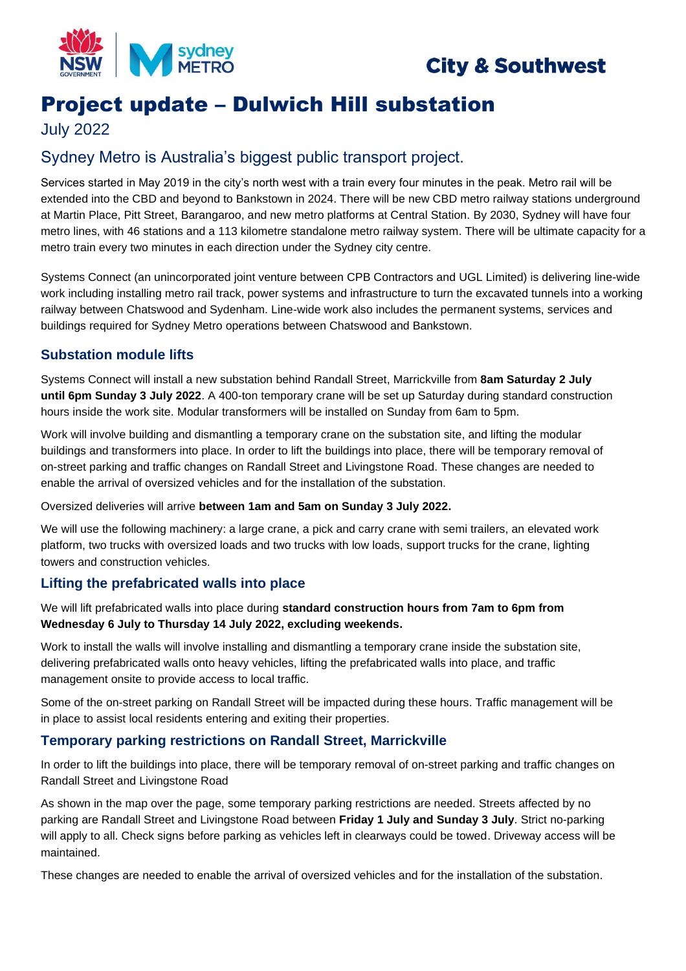

# **City & Southwest**

# Project update – Dulwich Hill substation

July 2022

## Sydney Metro is Australia's biggest public transport project.

Services started in May 2019 in the city's north west with a train every four minutes in the peak. Metro rail will be extended into the CBD and beyond to Bankstown in 2024. There will be new CBD metro railway stations underground at Martin Place, Pitt Street, Barangaroo, and new metro platforms at Central Station. By 2030, Sydney will have four metro lines, with 46 stations and a 113 kilometre standalone metro railway system. There will be ultimate capacity for a metro train every two minutes in each direction under the Sydney city centre.

Systems Connect (an unincorporated joint venture between CPB Contractors and UGL Limited) is delivering line-wide work including installing metro rail track, power systems and infrastructure to turn the excavated tunnels into a working railway between Chatswood and Sydenham. Line-wide work also includes the permanent systems, services and buildings required for Sydney Metro operations between Chatswood and Bankstown.

### **Substation module lifts**

Systems Connect will install a new substation behind Randall Street, Marrickville from **8am Saturday 2 July until 6pm Sunday 3 July 2022**. A 400-ton temporary crane will be set up Saturday during standard construction hours inside the work site. Modular transformers will be installed on Sunday from 6am to 5pm.

Work will involve building and dismantling a temporary crane on the substation site, and lifting the modular buildings and transformers into place. In order to lift the buildings into place, there will be temporary removal of on-street parking and traffic changes on Randall Street and Livingstone Road. These changes are needed to enable the arrival of oversized vehicles and for the installation of the substation.

Oversized deliveries will arrive **between 1am and 5am on Sunday 3 July 2022.** 

We will use the following machinery: a large crane, a pick and carry crane with semi trailers, an elevated work platform, two trucks with oversized loads and two trucks with low loads, support trucks for the crane, lighting towers and construction vehicles.

#### **Lifting the prefabricated walls into place**

We will lift prefabricated walls into place during **standard construction hours from 7am to 6pm from Wednesday 6 July to Thursday 14 July 2022, excluding weekends.**

Work to install the walls will involve installing and dismantling a temporary crane inside the substation site, delivering prefabricated walls onto heavy vehicles, lifting the prefabricated walls into place, and traffic management onsite to provide access to local traffic.

Some of the on-street parking on Randall Street will be impacted during these hours. Traffic management will be in place to assist local residents entering and exiting their properties.

#### **Temporary parking restrictions on Randall Street, Marrickville**

In order to lift the buildings into place, there will be temporary removal of on-street parking and traffic changes on Randall Street and Livingstone Road

As shown in the map over the page, some temporary parking restrictions are needed. Streets affected by no parking are Randall Street and Livingstone Road between **Friday 1 July and Sunday 3 July**. Strict no-parking will apply to all. Check signs before parking as vehicles left in clearways could be towed. Driveway access will be maintained.

These changes are needed to enable the arrival of oversized vehicles and for the installation of the substation.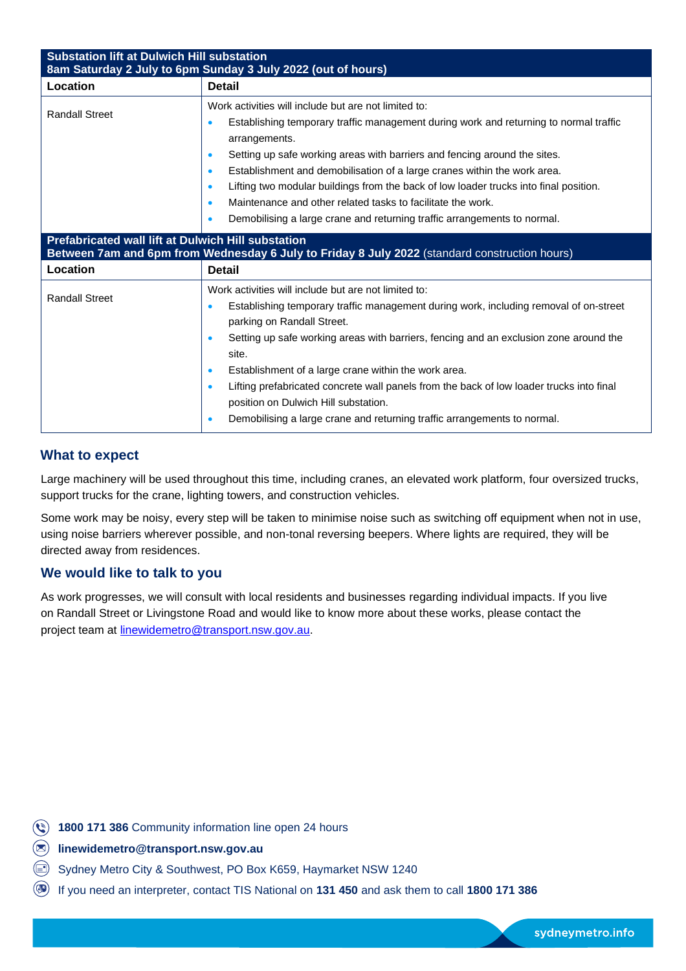| <b>Substation lift at Dulwich Hill substation</b><br>8am Saturday 2 July to 6pm Sunday 3 July 2022 (out of hours)                                   |                                                                                                                                                                                                                                                                                                                                                                                                                                                                                                                                                                                       |
|-----------------------------------------------------------------------------------------------------------------------------------------------------|---------------------------------------------------------------------------------------------------------------------------------------------------------------------------------------------------------------------------------------------------------------------------------------------------------------------------------------------------------------------------------------------------------------------------------------------------------------------------------------------------------------------------------------------------------------------------------------|
| Location                                                                                                                                            | <b>Detail</b>                                                                                                                                                                                                                                                                                                                                                                                                                                                                                                                                                                         |
| <b>Randall Street</b>                                                                                                                               | Work activities will include but are not limited to:<br>Establishing temporary traffic management during work and returning to normal traffic<br>arrangements.<br>Setting up safe working areas with barriers and fencing around the sites.<br>Establishment and demobilisation of a large cranes within the work area.<br>$\bullet$<br>Lifting two modular buildings from the back of low loader trucks into final position.<br>$\bullet$<br>Maintenance and other related tasks to facilitate the work.<br>Demobilising a large crane and returning traffic arrangements to normal. |
| Prefabricated wall lift at Dulwich Hill substation<br>Between 7am and 6pm from Wednesday 6 July to Friday 8 July 2022 (standard construction hours) |                                                                                                                                                                                                                                                                                                                                                                                                                                                                                                                                                                                       |
| Location                                                                                                                                            | <b>Detail</b>                                                                                                                                                                                                                                                                                                                                                                                                                                                                                                                                                                         |
| <b>Randall Street</b>                                                                                                                               | Work activities will include but are not limited to:<br>Establishing temporary traffic management during work, including removal of on-street<br>parking on Randall Street.<br>Setting up safe working areas with barriers, fencing and an exclusion zone around the<br>site.<br>Establishment of a large crane within the work area.<br>Lifting prefabricated concrete wall panels from the back of low loader trucks into final<br>$\bullet$<br>position on Dulwich Hill substation.<br>Demobilising a large crane and returning traffic arrangements to normal.                    |

#### **What to expect**

Large machinery will be used throughout this time, including cranes, an elevated work platform, four oversized trucks, support trucks for the crane, lighting towers, and construction vehicles.

Some work may be noisy, every step will be taken to minimise noise such as switching off equipment when not in use, using noise barriers wherever possible, and non-tonal reversing beepers. Where lights are required, they will be directed away from residences.

#### **We would like to talk to you**

As work progresses, we will consult with local residents and businesses regarding individual impacts. If you live on Randall Street or Livingstone Road and would like to know more about these works, please contact the project team at [linewidemetro@transport.nsw.gov.au.](mailto:linewidemetro@transport.nsw.gov.au)

**1800 171 386** Community information line open 24 hours

**linewidemetro@transport.nsw.gov.au**

Sydney Metro City & Southwest, PO Box K659, Haymarket NSW 1240

If you need an interpreter, contact TIS National on **131 450** and ask them to call **1800 171 386**